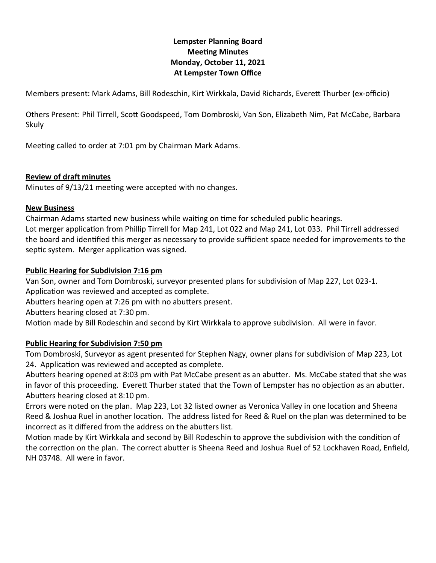# **Lempster Planning Board Meeting Minutes Monday, October 11, 2021 At Lempster Town Office**

Members present: Mark Adams, Bill Rodeschin, Kirt Wirkkala, David Richards, Everett Thurber (ex-officio)

Others Present: Phil Tirrell, Scott Goodspeed, Tom Dombroski, Van Son, Elizabeth Nim, Pat McCabe, Barbara Skuly

Meeting called to order at 7:01 pm by Chairman Mark Adams.

### **Review of draft minutes**

Minutes of 9/13/21 meeting were accepted with no changes.

### **New Business**

Chairman Adams started new business while waiting on time for scheduled public hearings. Lot merger application from Phillip Tirrell for Map 241, Lot 022 and Map 241, Lot 033. Phil Tirrell addressed the board and identified this merger as necessary to provide sufficient space needed for improvements to the septic system. Merger application was signed.

### **Public Hearing for Subdivision 7:16 pm**

Van Son, owner and Tom Dombroski, surveyor presented plans for subdivision of Map 227, Lot 023-1. Application was reviewed and accepted as complete.

Abutters hearing open at 7:26 pm with no abutters present.

Abutters hearing closed at 7:30 pm.

Motion made by Bill Rodeschin and second by Kirt Wirkkala to approve subdivision. All were in favor.

### **Public Hearing for Subdivision 7:50 pm**

Tom Dombroski, Surveyor as agent presented for Stephen Nagy, owner plans for subdivision of Map 223, Lot 24. Application was reviewed and accepted as complete.

Abutters hearing opened at 8:03 pm with Pat McCabe present as an abutter. Ms. McCabe stated that she was in favor of this proceeding. Everett Thurber stated that the Town of Lempster has no objection as an abutter. Abutters hearing closed at 8:10 pm.

Errors were noted on the plan. Map 223, Lot 32 listed owner as Veronica Valley in one location and Sheena Reed & Joshua Ruel in another location. The address listed for Reed & Ruel on the plan was determined to be incorrect as it differed from the address on the abutters list.

Motion made by Kirt Wirkkala and second by Bill Rodeschin to approve the subdivision with the condition of the correction on the plan. The correct abutter is Sheena Reed and Joshua Ruel of 52 Lockhaven Road, Enfield, NH 03748. All were in favor.